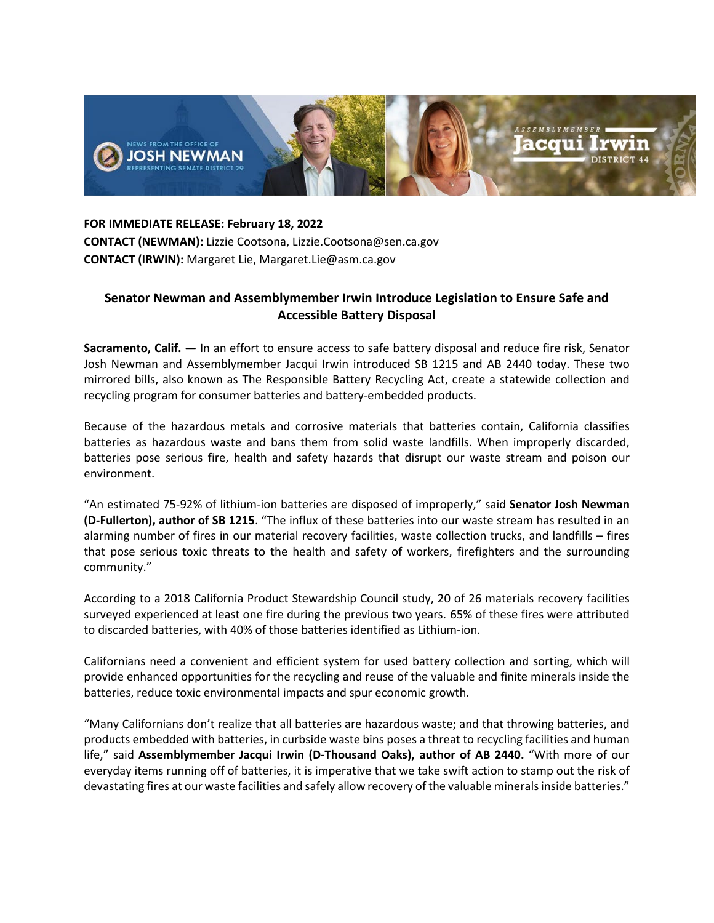

**FOR IMMEDIATE RELEASE: February 18, 2022 CONTACT (NEWMAN):** Lizzie Cootsona, Lizzie.Cootsona@sen.ca.gov **CONTACT (IRWIN):** Margaret Lie, Margaret.Lie@asm.ca.gov

## **Senator Newman and Assemblymember Irwin Introduce Legislation to Ensure Safe and Accessible Battery Disposal**

**Sacramento, Calif. —** In an effort to ensure access to safe battery disposal and reduce fire risk, Senator Josh Newman and Assemblymember Jacqui Irwin introduced SB 1215 and AB 2440 today. These two mirrored bills, also known as The Responsible Battery Recycling Act, create a statewide collection and recycling program for consumer batteries and battery-embedded products.

Because of the hazardous metals and corrosive materials that batteries contain, California classifies batteries as hazardous waste and bans them from solid waste landfills. When improperly discarded, batteries pose serious fire, health and safety hazards that disrupt our waste stream and poison our environment.

"An estimated 75-92% of lithium-ion batteries are disposed of improperly," said **Senator Josh Newman (D-Fullerton), author of SB 1215**. "The influx of these batteries into our waste stream has resulted in an alarming number of fires in our material recovery facilities, waste collection trucks, and landfills – fires that pose serious toxic threats to the health and safety of workers, firefighters and the surrounding community."

According to a 2018 California Product Stewardship Council study, 20 of 26 materials recovery facilities surveyed experienced at least one fire during the previous two years. 65% of these fires were attributed to discarded batteries, with 40% of those batteries identified as Lithium-ion.

Californians need a convenient and efficient system for used battery collection and sorting, which will provide enhanced opportunities for the recycling and reuse of the valuable and finite minerals inside the batteries, reduce toxic environmental impacts and spur economic growth.

"Many Californians don't realize that all batteries are hazardous waste; and that throwing batteries, and products embedded with batteries, in curbside waste bins poses a threat to recycling facilities and human life," said **Assemblymember Jacqui Irwin (D-Thousand Oaks), author of AB 2440.** "With more of our everyday items running off of batteries, it is imperative that we take swift action to stamp out the risk of devastating fires at our waste facilities and safely allow recovery of the valuable minerals inside batteries."